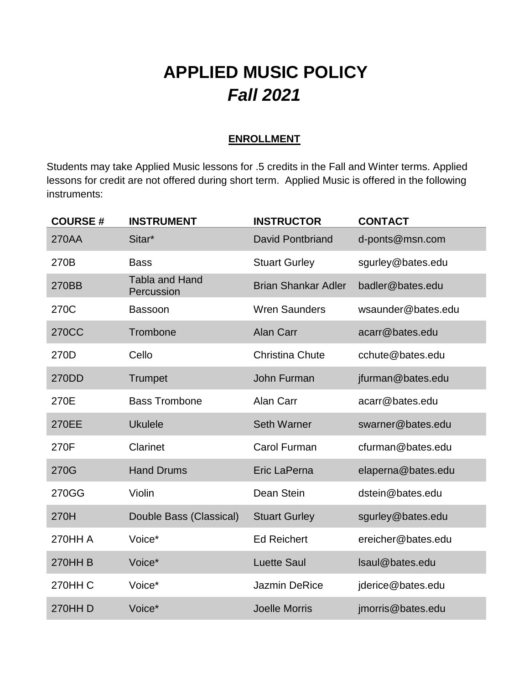# **APPLIED MUSIC POLICY** *Fall 2021*

### **ENROLLMENT**

Students may take Applied Music lessons for .5 credits in the Fall and Winter terms. Applied lessons for credit are not offered during short term. Applied Music is offered in the following instruments:

| <b>COURSE#</b> | <b>INSTRUMENT</b>                   | <b>INSTRUCTOR</b>          | <b>CONTACT</b>     |
|----------------|-------------------------------------|----------------------------|--------------------|
| 270AA          | Sitar*                              | <b>David Pontbriand</b>    | d-ponts@msn.com    |
| 270B           | <b>Bass</b>                         | <b>Stuart Gurley</b>       | sgurley@bates.edu  |
| 270BB          | <b>Tabla and Hand</b><br>Percussion | <b>Brian Shankar Adler</b> | badler@bates.edu   |
| 270C           | <b>Bassoon</b>                      | <b>Wren Saunders</b>       | wsaunder@bates.edu |
| <b>270CC</b>   | Trombone                            | <b>Alan Carr</b>           | acarr@bates.edu    |
| 270D           | Cello                               | <b>Christina Chute</b>     | cchute@bates.edu   |
| 270DD          | Trumpet                             | John Furman                | jfurman@bates.edu  |
| 270E           | <b>Bass Trombone</b>                | Alan Carr                  | acarr@bates.edu    |
| 270EE          | <b>Ukulele</b>                      | <b>Seth Warner</b>         | swarner@bates.edu  |
| 270F           | Clarinet                            | <b>Carol Furman</b>        | cfurman@bates.edu  |
| 270G           | <b>Hand Drums</b>                   | Eric LaPerna               | elaperna@bates.edu |
| 270GG          | Violin                              | Dean Stein                 | dstein@bates.edu   |
| 270H           | Double Bass (Classical)             | <b>Stuart Gurley</b>       | sgurley@bates.edu  |
| <b>270HH A</b> | Voice*                              | <b>Ed Reichert</b>         | ereicher@bates.edu |
| <b>270HHB</b>  | Voice*                              | <b>Luette Saul</b>         | Isaul@bates.edu    |
| <b>270HH C</b> | Voice*                              | <b>Jazmin DeRice</b>       | jderice@bates.edu  |
| 270HH D        | Voice*                              | <b>Joelle Morris</b>       | jmorris@bates.edu  |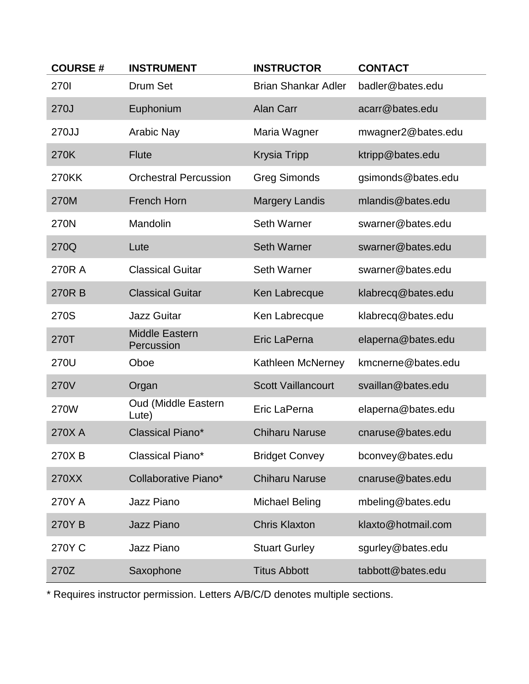| <b>COURSE#</b> | <b>INSTRUMENT</b>                   | <b>INSTRUCTOR</b>          | <b>CONTACT</b>     |
|----------------|-------------------------------------|----------------------------|--------------------|
| <b>2701</b>    | Drum Set                            | <b>Brian Shankar Adler</b> | badler@bates.edu   |
| 270J           | Euphonium                           | <b>Alan Carr</b>           | acarr@bates.edu    |
| 270JJ          | <b>Arabic Nay</b>                   | Maria Wagner               | mwagner2@bates.edu |
| 270K           | <b>Flute</b>                        | <b>Krysia Tripp</b>        | ktripp@bates.edu   |
| 270KK          | <b>Orchestral Percussion</b>        | <b>Greg Simonds</b>        | gsimonds@bates.edu |
| 270M           | <b>French Horn</b>                  | <b>Margery Landis</b>      | mlandis@bates.edu  |
| 270N           | Mandolin                            | <b>Seth Warner</b>         | swarner@bates.edu  |
| 270Q           | Lute                                | <b>Seth Warner</b>         | swarner@bates.edu  |
| 270R A         | <b>Classical Guitar</b>             | <b>Seth Warner</b>         | swarner@bates.edu  |
| 270RB          | <b>Classical Guitar</b>             | Ken Labrecque              | klabrecq@bates.edu |
| 270S           | <b>Jazz Guitar</b>                  | Ken Labrecque              | klabrecq@bates.edu |
| 270T           | <b>Middle Eastern</b><br>Percussion | Eric LaPerna               | elaperna@bates.edu |
| 270U           | Oboe                                | Kathleen McNerney          | kmcnerne@bates.edu |
| <b>270V</b>    | Organ                               | <b>Scott Vaillancourt</b>  | svaillan@bates.edu |
| 270W           | <b>Oud (Middle Eastern</b><br>Lute) | Eric LaPerna               | elaperna@bates.edu |
| 270XA          | Classical Piano*                    | <b>Chiharu Naruse</b>      | cnaruse@bates.edu  |
| 270XB          | Classical Piano*                    | <b>Bridget Convey</b>      | bconvey@bates.edu  |
| 270XX          | Collaborative Piano*                | <b>Chiharu Naruse</b>      | cnaruse@bates.edu  |
| 270Y A         | Jazz Piano                          | <b>Michael Beling</b>      | mbeling@bates.edu  |
| 270YB          | <b>Jazz Piano</b>                   | <b>Chris Klaxton</b>       | klaxto@hotmail.com |
| 270YC          | Jazz Piano                          | <b>Stuart Gurley</b>       | sgurley@bates.edu  |
| 270Z           | Saxophone                           | <b>Titus Abbott</b>        | tabbott@bates.edu  |

\* Requires instructor permission. Letters A/B/C/D denotes multiple sections.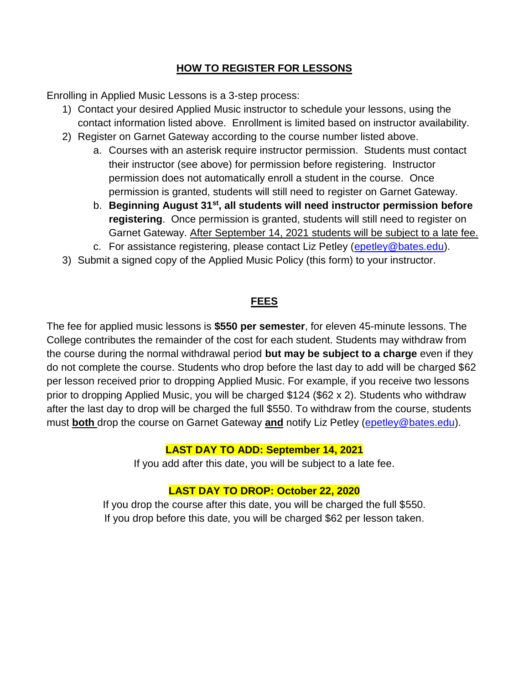### **HOW TO REGISTER FOR LESSONS**

Enrolling in Applied Music Lessons is a 3-step process:

- 1) Contact your desired Applied Music instructor to schedule your lessons, using the contact information listed above. Enrollment is limited based on instructor availability.
- 2) Register on Garnet Gateway according to the course number listed above.
	- a. Courses with an asterisk require instructor permission. Students must contact their instructor (see above) for permission before registering. Instructor permission does not automatically enroll a student in the course. Once permission is granted, students will still need to register on Garnet Gateway.
	- b. **Beginning August 31st , all students will need instructor permission before registering**. Once permission is granted, students will still need to register on Garnet Gateway. After September 14, 2021 students will be subject to a late fee.
	- c. For assistance registering, please contact Liz Petley [\(epetley@bates.edu\)](mailto:epetley@bates.edu).
- 3) Submit a signed copy of the Applied Music Policy (this form) to your instructor.

# **FEES**

The fee for applied music lessons is **\$550 per semester**, for eleven 45-minute lessons. The College contributes the remainder of the cost for each student. Students may withdraw from the course during the normal withdrawal period **but may be subject to a charge** even if they do not complete the course. Students who drop before the last day to add will be charged \$62 per lesson received prior to dropping Applied Music. For example, if you receive two lessons prior to dropping Applied Music, you will be charged \$124 (\$62 x 2). Students who withdraw after the last day to drop will be charged the full \$550. To withdraw from the course, students must **both** drop the course on Garnet Gateway **and** notify Liz Petley [\(epetley@bates.edu\)](mailto:epetley@bates.edu).

# **LAST DAY TO ADD: September 14, 2021**

If you add after this date, you will be subject to a late fee.

# **LAST DAY TO DROP: October 22, 2020**

If you drop the course after this date, you will be charged the full \$550. If you drop before this date, you will be charged \$62 per lesson taken.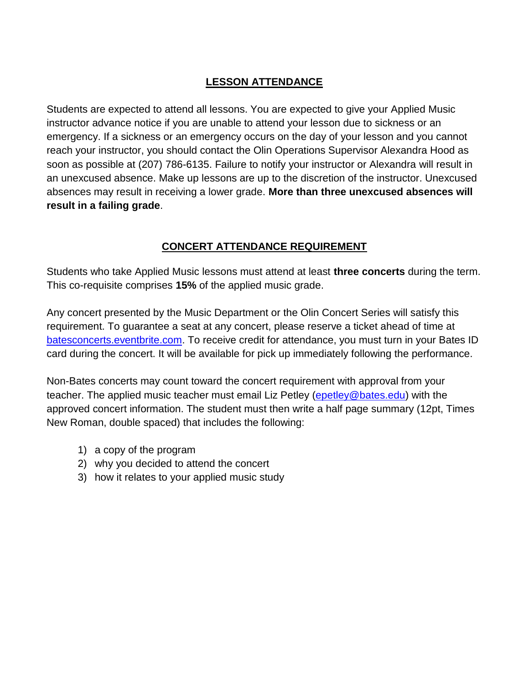# **LESSON ATTENDANCE**

Students are expected to attend all lessons. You are expected to give your Applied Music instructor advance notice if you are unable to attend your lesson due to sickness or an emergency. If a sickness or an emergency occurs on the day of your lesson and you cannot reach your instructor, you should contact the Olin Operations Supervisor Alexandra Hood as soon as possible at (207) 786-6135. Failure to notify your instructor or Alexandra will result in an unexcused absence. Make up lessons are up to the discretion of the instructor. Unexcused absences may result in receiving a lower grade. **More than three unexcused absences will result in a failing grade**.

# **CONCERT ATTENDANCE REQUIREMENT**

Students who take Applied Music lessons must attend at least **three concerts** during the term. This co-requisite comprises **15%** of the applied music grade.

Any concert presented by the Music Department or the Olin Concert Series will satisfy this requirement. To guarantee a seat at any concert, please reserve a ticket ahead of time at [batesconcerts.eventbrite.com.](file://///china/Departments/Music/Share/Applied%20Music/Winter%202020/batesconcerts.eventbrite.com) To receive credit for attendance, you must turn in your Bates ID card during the concert. It will be available for pick up immediately following the performance.

Non-Bates concerts may count toward the concert requirement with approval from your teacher. The applied music teacher must email Liz Petley [\(epetley@bates.edu\)](mailto:epetley@bates.edu) with the approved concert information. The student must then write a half page summary (12pt, Times New Roman, double spaced) that includes the following:

- 1) a copy of the program
- 2) why you decided to attend the concert
- 3) how it relates to your applied music study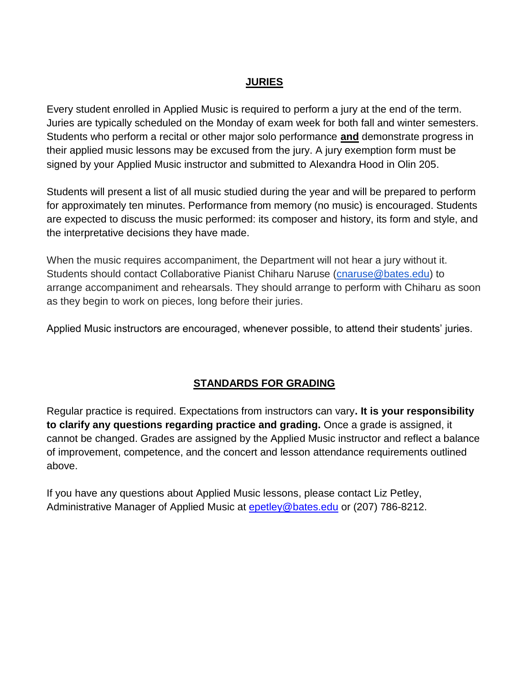#### **JURIES**

Every student enrolled in Applied Music is required to perform a jury at the end of the term. Juries are typically scheduled on the Monday of exam week for both fall and winter semesters. Students who perform a recital or other major solo performance **and** demonstrate progress in their applied music lessons may be excused from the jury. A jury exemption form must be signed by your Applied Music instructor and submitted to Alexandra Hood in Olin 205.

Students will present a list of all music studied during the year and will be prepared to perform for approximately ten minutes. Performance from memory (no music) is encouraged. Students are expected to discuss the music performed: its composer and history, its form and style, and the interpretative decisions they have made.

When the music requires accompaniment, the Department will not hear a jury without it. Students should contact Collaborative Pianist Chiharu Naruse [\(cnaruse@bates.edu\)](mailto:cnaruse@bates.edu) to arrange accompaniment and rehearsals. They should arrange to perform with Chiharu as soon as they begin to work on pieces, long before their juries.

Applied Music instructors are encouraged, whenever possible, to attend their students' juries.

#### **STANDARDS FOR GRADING**

Regular practice is required. Expectations from instructors can vary**. It is your responsibility to clarify any questions regarding practice and grading.** Once a grade is assigned, it cannot be changed. Grades are assigned by the Applied Music instructor and reflect a balance of improvement, competence, and the concert and lesson attendance requirements outlined above.

If you have any questions about Applied Music lessons, please contact Liz Petley, Administrative Manager of Applied Music at [epetley@bates.edu](mailto:epetley@bates.edu) or (207) 786-8212.